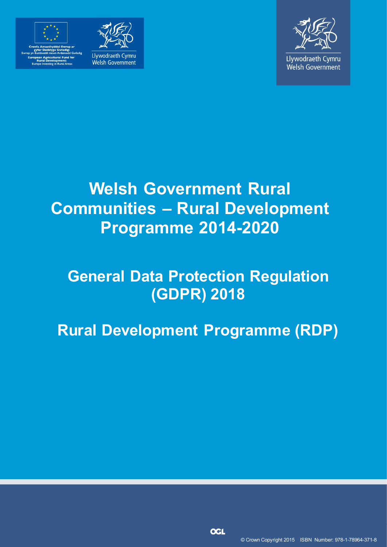



Llywodraeth Cymru Welsh Government



Llywodraeth Cymru Welsh Government

# **Welsh Government Rural Communities – Rural Development Programme 2014-2020**

# **General Data Protection Regulation (GDPR) 2018**

**Rural Development Programme (RDP)**

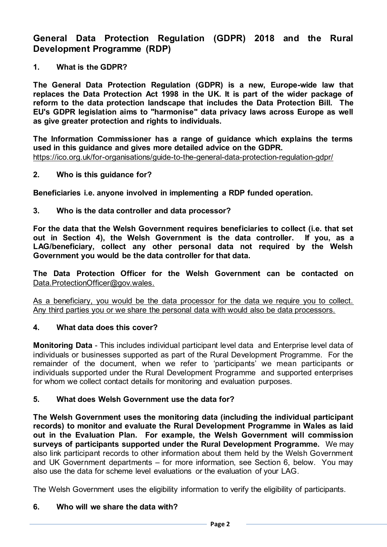**General Data Protection Regulation (GDPR) 2018 and the Rural Development Programme (RDP)**

**1. What is the GDPR?**

**The General Data Protection Regulation (GDPR) is a new, Europe-wide law that replaces the Data Protection Act 1998 in the UK. It is part of the wider package of reform to the data protection landscape that includes the Data Protection Bill. The EU's GDPR legislation aims to "harmonise" data privacy laws across Europe as well as give greater protection and rights to individuals.**

**The Information Commissioner has a range of guidance which explains the terms used in this guidance and gives more detailed advice on the GDPR.** <https://ico.org.uk/for-organisations/guide-to-the-general-data-protection-regulation-gdpr/>

**2. Who is this guidance for?**

**Beneficiaries i.e. anyone involved in implementing a RDP funded operation.**

**3. Who is the data controller and data processor?**

**For the data that the Welsh Government requires beneficiaries to collect (i.e. that set out in Section 4), the Welsh Government is the data controller. If you, as a LAG/beneficiary, collect any other personal data not required by the Welsh Government you would be the data controller for that data.**

**The Data Protection Officer for the Welsh Government can be contacted on**  [Data.ProtectionOfficer@gov.wales.](mailto:Data.ProtectionOfficer@gov.wales)

As a beneficiary, you would be the data processor for the data we require you to collect. Any third parties you or we share the personal data with would also be data processors.

#### **4. What data does this cover?**

**Monitoring Data** - This includes individual participant level data and Enterprise level data of individuals or businesses supported as part of the Rural Development Programme. For the remainder of the document, when we refer to 'participants' we mean participants or individuals supported under the Rural Development Programme and supported enterprises for whom we collect contact details for monitoring and evaluation purposes.

#### **5. What does Welsh Government use the data for?**

**The Welsh Government uses the monitoring data (including the individual participant records) to monitor and evaluate the Rural Development Programme in Wales as laid out in the Evaluation Plan. For example, the Welsh Government will commission surveys of participants supported under the Rural Development Programme.** We may also link participant records to other information about them held by the Welsh Government and UK Government departments – for more information, see Section 6, below. You may also use the data for scheme level evaluations or the evaluation of your LAG.

The Welsh Government uses the eligibility information to verify the eligibility of participants.

#### **6. Who will we share the data with?**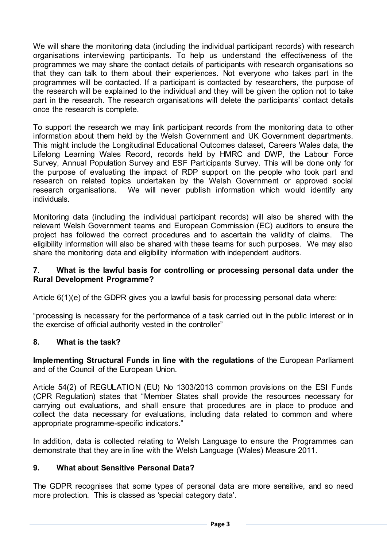We will share the monitoring data (including the individual participant records) with research organisations interviewing participants. To help us understand the effectiveness of the programmes we may share the contact details of participants with research organisations so that they can talk to them about their experiences. Not everyone who takes part in the programmes will be contacted. If a participant is contacted by researchers, the purpose of the research will be explained to the individual and they will be given the option not to take part in the research. The research organisations will delete the participants' contact details once the research is complete.

To support the research we may link participant records from the monitoring data to other information about them held by the Welsh Government and UK Government departments. This might include the Longitudinal Educational Outcomes dataset, Careers Wales data, the Lifelong Learning Wales Record, records held by HMRC and DWP, the Labour Force Survey, Annual Population Survey and ESF Participants Survey. This will be done only for the purpose of evaluating the impact of RDP support on the people who took part and research on related topics undertaken by the Welsh Government or approved social research organisations. We will never publish information which would identify any individuals.

Monitoring data (including the individual participant records) will also be shared with the relevant Welsh Government teams and European Commission (EC) auditors to ensure the project has followed the correct procedures and to ascertain the validity of claims. The eligibility information will also be shared with these teams for such purposes. We may also share the monitoring data and eligibility information with independent auditors.

#### **7. What is the lawful basis for controlling or processing personal data under the Rural Development Programme?**

Article 6(1)(e) of the GDPR gives you a lawful basis for processing personal data where:

"processing is necessary for the performance of a task carried out in the public interest or in the exercise of official authority vested in the controller"

## **8. What is the task?**

**Implementing Structural Funds in line with the regulations** of the European Parliament and of the Council of the European Union.

Article 54(2) of REGULATION (EU) No 1303/2013 common provisions on the ESI Funds (CPR Regulation) states that "Member States shall provide the resources necessary for carrying out evaluations, and shall ensure that procedures are in place to produce and collect the data necessary for evaluations, including data related to common and where appropriate programme-specific indicators."

In addition, data is collected relating to Welsh Language to ensure the Programmes can demonstrate that they are in line with the Welsh Language (Wales) Measure 2011.

### **9. What about Sensitive Personal Data?**

The GDPR recognises that some types of personal data are more sensitive, and so need more protection. This is classed as 'special category data'.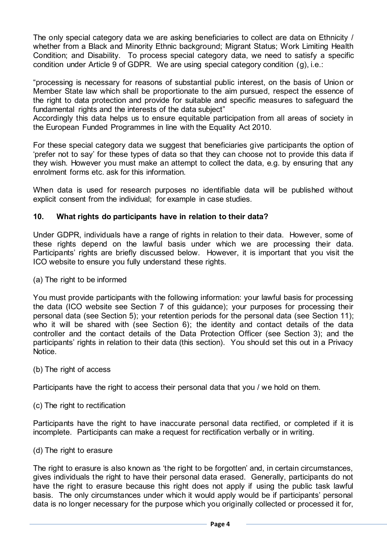The only special category data we are asking beneficiaries to collect are data on Ethnicity / whether from a Black and Minority Ethnic background; Migrant Status; Work Limiting Health Condition; and Disability. To process special category data, we need to satisfy a specific condition under Article 9 of GDPR. We are using special category condition (g), i.e.:

"processing is necessary for reasons of substantial public interest, on the basis of Union or Member State law which shall be proportionate to the aim pursued, respect the essence of the right to data protection and provide for suitable and specific measures to safeguard the fundamental rights and the interests of the data subject"

Accordingly this data helps us to ensure equitable participation from all areas of society in the European Funded Programmes in line with the Equality Act 2010.

For these special category data we suggest that beneficiaries give participants the option of 'prefer not to say' for these types of data so that they can choose not to provide this data if they wish. However you must make an attempt to collect the data, e.g. by ensuring that any enrolment forms etc. ask for this information.

When data is used for research purposes no identifiable data will be published without explicit consent from the individual; for example in case studies.

#### **10. What rights do participants have in relation to their data?**

Under GDPR, individuals have a range of rights in relation to their data. However, some of these rights depend on the lawful basis under which we are processing their data. Participants' rights are briefly discussed below. However, it is important that you visit the ICO website to ensure you fully understand these rights.

(a) The right to be informed

You must provide participants with the following information: your lawful basis for processing the data (ICO website see Section 7 of this guidance); your purposes for processing their personal data (see Section 5); your retention periods for the personal data (see Section 11); who it will be shared with (see Section 6); the identity and contact details of the data controller and the contact details of the Data Protection Officer (see Section 3); and the participants' rights in relation to their data (this section). You should set this out in a Privacy Notice.

(b) The right of access

Participants have the right to access their personal data that you / we hold on them.

(c) The right to rectification

Participants have the right to have inaccurate personal data rectified, or completed if it is incomplete. Participants can make a request for rectification verbally or in writing.

(d) The right to erasure

The right to erasure is also known as 'the right to be forgotten' and, in certain circumstances, gives individuals the right to have their personal data erased. Generally, participants do not have the right to erasure because this right does not apply if using the public task lawful basis. The only circumstances under which it would apply would be if participants' personal data is no longer necessary for the purpose which you originally collected or processed it for,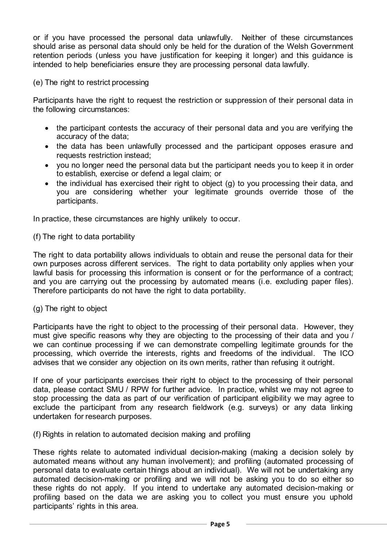or if you have processed the personal data unlawfully. Neither of these circumstances should arise as personal data should only be held for the duration of the Welsh Government retention periods (unless you have justification for keeping it longer) and this quidance is intended to help beneficiaries ensure they are processing personal data lawfully.

(e) The right to restrict processing

Participants have the right to request the restriction or suppression of their personal data in the following circumstances:

- the participant contests the accuracy of their personal data and you are verifying the accuracy of the data;
- the data has been unlawfully processed and the participant opposes erasure and requests restriction instead;
- you no longer need the personal data but the participant needs you to keep it in order to establish, exercise or defend a legal claim; or
- the individual has exercised their right to object (g) to you processing their data, and you are considering whether your legitimate grounds override those of the participants.

In practice, these circumstances are highly unlikely to occur.

(f) The right to data portability

The right to data portability allows individuals to obtain and reuse the personal data for their own purposes across different services. The right to data portability only applies when your lawful basis for processing this information is consent or for the performance of a contract; and you are carrying out the processing by automated means (i.e. excluding paper files). Therefore participants do not have the right to data portability.

#### (g) The right to object

Participants have the right to object to the processing of their personal data. However, they must give specific reasons why they are objecting to the processing of their data and you / we can continue processing if we can demonstrate compelling legitimate grounds for the processing, which override the interests, rights and freedoms of the individual. The ICO advises that we consider any objection on its own merits, rather than refusing it outright.

If one of your participants exercises their right to object to the processing of their personal data, please contact SMU / RPW for further advice. In practice, whilst we may not agree to stop processing the data as part of our verification of participant eligibility we may agree to exclude the participant from any research fieldwork (e.g. surveys) or any data linking undertaken for research purposes.

(f) Rights in relation to automated decision making and profiling

These rights relate to automated individual decision-making (making a decision solely by automated means without any human involvement); and profiling (automated processing of personal data to evaluate certain things about an individual). We will not be undertaking any automated decision-making or profiling and we will not be asking you to do so either so these rights do not apply. If you intend to undertake any automated decision-making or profiling based on the data we are asking you to collect you must ensure you uphold participants' rights in this area.